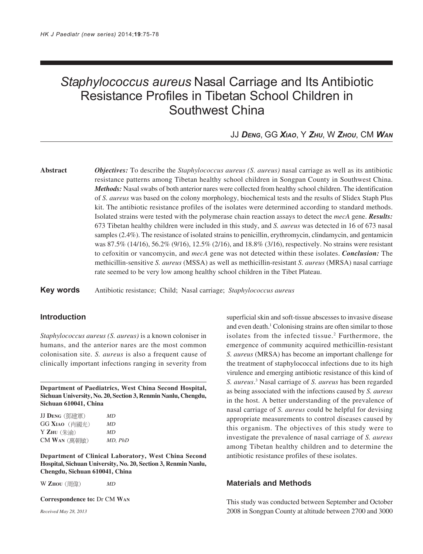# *Staphylococcus aureus* Nasal Carriage and Its Antibiotic Resistance Profiles in Tibetan School Children in Southwest China

## JJ *DENG*, GG *XIAO*, Y *ZHU*, W *ZHOU*, CM *WAN*

**Abstract** *Objectives:* To describe the *Staphylococcus aureus (S. aureus)* nasal carriage as well as its antibiotic resistance patterns among Tibetan healthy school children in Songpan County in Southwest China. *Methods:* Nasal swabs of both anterior nares were collected from healthy school children. The identification of *S. aureus* was based on the colony morphology, biochemical tests and the results of Slidex Staph Plus kit. The antibiotic resistance profiles of the isolates were determined according to standard methods. Isolated strains were tested with the polymerase chain reaction assays to detect the *mecA* gene. *Results:* 673 Tibetan healthy children were included in this study, and *S. aureus* was detected in 16 of 673 nasal samples (2.4%). The resistance of isolated strains to penicillin, erythromycin, clindamycin, and gentamicin was 87.5% (14/16), 56.2% (9/16), 12.5% (2/16), and 18.8% (3/16), respectively. No strains were resistant to cefoxitin or vancomycin, and *mecA* gene was not detected within these isolates. *Conclusion:* The methicillin-sensitive *S. aureus* (MSSA) as well as methicillin-resistant *S. aureus* (MRSA) nasal carriage rate seemed to be very low among healthy school children in the Tibet Plateau.

**Key words** Antibiotic resistance; Child; Nasal carriage; *Staphylococcus aureus*

## **Introduction**

*Staphylococcus aureus (S. aureus)* is a known coloniser in humans, and the anterior nares are the most common colonisation site. *S. aureus* is also a frequent cause of clinically important infections ranging in severity from

**Department of Paediatrics, West China Second Hospital, Sichuan University, No. 20, Section 3, Renmin Nanlu, Chengdu, Sichuan 610041, China**

| JJ Deng(鄧建軍)                      | MD      |
|-----------------------------------|---------|
| GG <b>X</b> iao(肖國光)              | MD.     |
| $Y$ $Z$ HU $(\nleftrightarrow$ 渝) | MD      |
| CM Wan (萬朝敏)                      | MD, PhD |

**Department of Clinical Laboratory, West China Second Hospital, Sichuan University, No. 20, Section 3, Renmin Nanlu, Chengdu, Sichuan 610041, China**

W **ZHOU** *MD*

**Correspondence to:** Dr CM **WAN**

*Received May 28, 2013*

superficial skin and soft-tissue abscesses to invasive disease and even death.<sup>1</sup> Colonising strains are often similar to those isolates from the infected tissue.<sup>2</sup> Furthermore, the emergence of community acquired methicillin-resistant *S. aureus* (MRSA) has become an important challenge for the treatment of staphylococcal infections due to its high virulence and emerging antibiotic resistance of this kind of *S. aureus*. 3 Nasal carriage of *S. aureus* has been regarded as being associated with the infections caused by *S. aureus* in the host. A better understanding of the prevalence of nasal carriage of *S. aureus* could be helpful for devising appropriate measurements to control diseases caused by this organism. The objectives of this study were to investigate the prevalence of nasal carriage of *S. aureus* among Tibetan healthy children and to determine the antibiotic resistance profiles of these isolates.

### **Materials and Methods**

This study was conducted between September and October 2008 in Songpan County at altitude between 2700 and 3000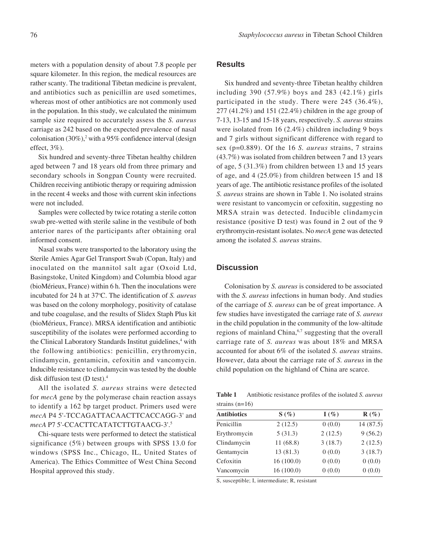meters with a population density of about 7.8 people per square kilometer. In this region, the medical resources are rather scanty. The traditional Tibetan medicine is prevalent, and antibiotics such as penicillin are used sometimes, whereas most of other antibiotics are not commonly used in the population. In this study, we calculated the minimum sample size required to accurately assess the *S. aureus* carriage as 242 based on the expected prevalence of nasal colonisation  $(30\%)$ ,<sup>2</sup> with a 95% confidence interval (design effect, 3%).

Six hundred and seventy-three Tibetan healthy children aged between 7 and 18 years old from three primary and secondary schools in Songpan County were recruited. Children receiving antibiotic therapy or requiring admission in the recent 4 weeks and those with current skin infections were not included.

Samples were collected by twice rotating a sterile cotton swab pre-wetted with sterile saline in the vestibule of both anterior nares of the participants after obtaining oral informed consent.

Nasal swabs were transported to the laboratory using the Sterile Amies Agar Gel Transport Swab (Copan, Italy) and inoculated on the mannitol salt agar (Oxoid Ltd, Basingstoke, United Kingdom) and Columbia blood agar (bioMérieux, France) within 6 h. Then the inoculations were incubated for 24 h at 37o C. The identification of *S. aureus* was based on the colony morphology, positivity of catalase and tube coagulase, and the results of Slidex Staph Plus kit (bioMérieux, France). MRSA identification and antibiotic susceptibility of the isolates were performed according to the Clinical Laboratory Standards Institut guidelines,<sup>4</sup> with the following antibiotics: penicillin, erythromycin, clindamycin, gentamicin, cefoxitin and vancomycin. Inducible resistance to clindamycin was tested by the double disk diffusion test (D test).4

All the isolated *S. aureus* strains were detected for *mecA* gene by the polymerase chain reaction assays to identify a 162 bp target product. Primers used were *mecA* P4 5'-TCCAGATTACAACTTCACCAGG-3' and *mecA* P7 5'-CCACTTCATATCTTGTAACG-3'.5

Chi-square tests were performed to detect the statistical significance (5%) between groups with SPSS 13.0 for windows (SPSS Inc., Chicago, IL, United States of America). The Ethics Committee of West China Second Hospital approved this study.

#### **Results**

Six hundred and seventy-three Tibetan healthy children including 390 (57.9%) boys and 283 (42.1%) girls participated in the study. There were 245 (36.4%), 277 (41.2%) and 151 (22.4%) children in the age group of 7-13, 13-15 and 15-18 years, respectively. *S. aureus* strains were isolated from 16 (2.4%) children including 9 boys and 7 girls without significant difference with regard to sex (p=0.889). Of the 16 *S. aureus* strains, 7 strains (43.7%) was isolated from children between 7 and 13 years of age, 5 (31.3%) from children between 13 and 15 years of age, and 4 (25.0%) from children between 15 and 18 years of age. The antibiotic resistance profiles of the isolated *S. aureus* strains are shown in Table 1. No isolated strains were resistant to vancomycin or cefoxitin, suggesting no MRSA strain was detected. Inducible clindamycin resistance (positive D test) was found in 2 out of the 9 erythromycin-resistant isolates. No *mecA* gene was detected among the isolated *S. aureus* strains.

#### **Discussion**

Colonisation by *S. aureus* is considered to be associated with the *S. aureus* infections in human body. And studies of the carriage of *S. aureus* can be of great importance. A few studies have investigated the carriage rate of *S. aureus* in the child population in the community of the low-altitude regions of mainland China,<sup>6,7</sup> suggesting that the overall carriage rate of *S. aureus* was about 18% and MRSA accounted for about 6% of the isolated *S. aureus* strains. However, data about the carriage rate of *S. aureus* in the child population on the highland of China are scarce.

**Table 1** Antibiotic resistance profiles of the isolated *S. aureus* strains (n=16)

| <b>Antibiotics</b> | $S(\%)$   | $I(\%)$ | $R(\%)$   |
|--------------------|-----------|---------|-----------|
| Penicillin         | 2(12.5)   | 0(0.0)  | 14 (87.5) |
| Erythromycin       | 5(31.3)   | 2(12.5) | 9(56.2)   |
| Clindamycin        | 11(68.8)  | 3(18.7) | 2(12.5)   |
| Gentamycin         | 13(81.3)  | 0(0.0)  | 3(18.7)   |
| Cefoxitin          | 16(100.0) | 0(0.0)  | 0(0.0)    |
| Vancomycin         | 16(100.0) | 0(0.0)  | 0(0.0)    |

S, susceptible; I, intermediate; R, resistant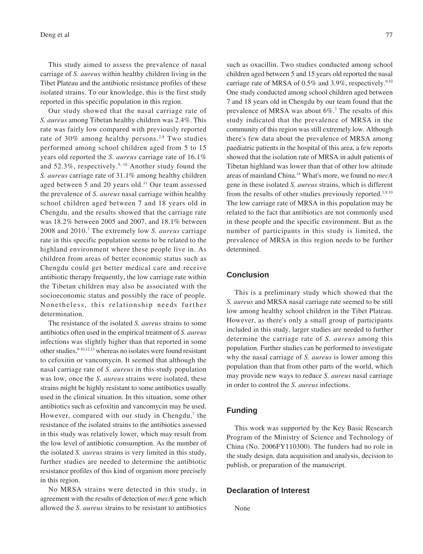Deng et al  $77$ 

This study aimed to assess the prevalence of nasal carriage of *S. aureus* within healthy children living in the Tibet Plateau and the antibiotic resistance profiles of these isolated strains. To our knowledge, this is the first study reported in this specific population in this region.

Our study showed that the nasal carriage rate of *S. aureus* among Tibetan healthy children was 2.4%. This rate was fairly low compared with previously reported rate of 30% among healthy persons.<sup>2,8</sup> Two studies performed among school children aged from 5 to 15 years old reported the *S. aureus* carriage rate of 16.1% and 52.3%, respectively.<sup>9, 10</sup> Another study found the *S. aureus* carriage rate of 31.1% among healthy children aged between 5 and 20 years old.<sup>11</sup> Our team assessed the prevalence of *S. aureus* nasal carriage within healthy school children aged between 7 and 18 years old in Chengdu, and the results showed that the carriage rate was 18.2% between 2005 and 2007, and 18.1% between 2008 and 2010.7 The extremely low *S. aureus* carriage rate in this specific population seems to be related to the highland environment where these people live in. As children from areas of better economic status such as Chengdu could get better medical care and receive antibiotic therapy frequently, the low carriage rate within the Tibetan children may also be associated with the socioeconomic status and possibly the race of people. Nonetheless, this relationship needs further determination.

The resistance of the isolated *S. aureus* strains to some antibiotics often used in the empirical treatment of *S. aureus* infections was slightly higher than that reported in some other studies, 9-10,12,13 whereas no isolates were found resistant to cefoxitin or vancomycin. It seemed that although the nasal carriage rate of *S. aureus* in this study population was low, once the *S. aureus* strains were isolated, these strains might be highly resistant to some antibiotics usually used in the clinical situation. In this situation, some other antibiotics such as cefoxitin and vancomycin may be used. However, compared with our study in Chengdu,<sup>7</sup> the resistance of the isolated strains to the antibiotics assessed in this study was relatively lower, which may result from the low level of antibiotic consumption. As the number of the isolated *S. aureus* strains is very limited in this study, further studies are needed to determine the antibiotic resistance profiles of this kind of organism more precisely in this region.

No MRSA strains were detected in this study, in agreement with the results of detection of *mecA* gene which allowed the *S. aureus* strains to be resistant to antibiotics

such as oxacillin. Two studies conducted among school children aged between 5 and 15 years old reported the nasal carriage rate of MRSA of  $0.5\%$  and  $3.9\%$ , respectively.<sup>9,10</sup> One study conducted among school children aged between 7 and 18 years old in Chengdu by our team found that the prevalence of MRSA was about 6%.7 The results of this study indicated that the prevalence of MRSA in the community of this region was still extremely low. Although there's few data about the prevalence of MRSA among paediatric patients in the hospital of this area, a few reports showed that the isolation rate of MRSA in adult patients of Tibetan highland was lower than that of other low altitude areas of mainland China.14 What's more, we found no *mecA* gene in these isolated *S. aureus* strains, which is different from the results of other studies previously reported.<sup>1,8,10</sup> The low carriage rate of MRSA in this population may be related to the fact that antibiotics are not commonly used in these people and the specific environment. But as the number of participants in this study is limited, the prevalence of MRSA in this region needs to be further determined.

#### **Conclusion**

This is a preliminary study which showed that the *S. aureus* and MRSA nasal carriage rate seemed to be still low among healthy school children in the Tibet Plateau. However, as there's only a small group of participants included in this study, larger studies are needed to further determine the carriage rate of *S. aureus* among this population. Further studies can be performed to investigate why the nasal carriage of *S. aureus* is lower among this population than that from other parts of the world, which may provide new ways to reduce *S. aureus* nasal carriage in order to control the *S. aureus* infections.

#### **Funding**

This work was supported by the Key Basic Research Program of the Ministry of Science and Technology of China (No. 2006FY110300). The funders had no role in the study design, data acquisition and analysis, decision to publish, or preparation of the manuscript.

#### **Declaration of Interest**

None